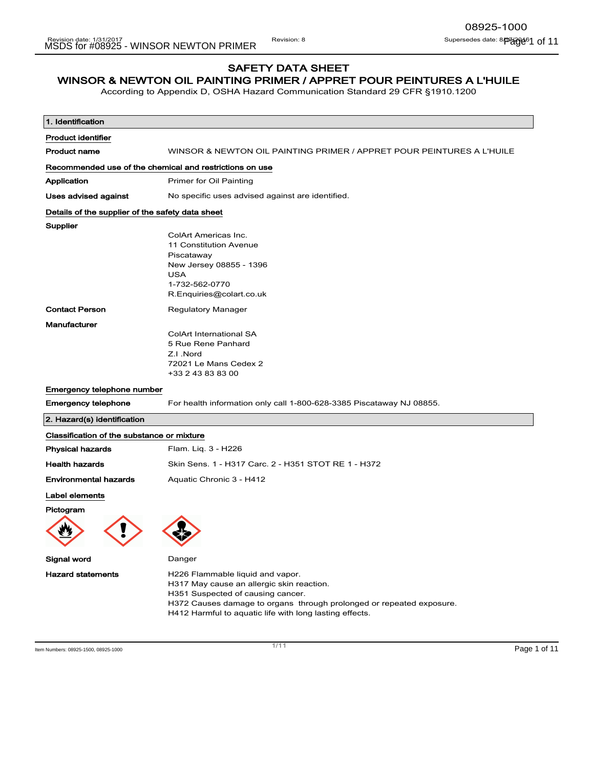# SAFETY DATA SHEET

# WINSOR & NEWTON OIL PAINTING PRIMER / APPRET POUR PEINTURES A L'HUILE

According to Appendix D, OSHA Hazard Communication Standard 29 CFR §1910.1200

| 1. Identification                                       |                                                                                                                                                                                                                                                       |
|---------------------------------------------------------|-------------------------------------------------------------------------------------------------------------------------------------------------------------------------------------------------------------------------------------------------------|
| <b>Product identifier</b>                               |                                                                                                                                                                                                                                                       |
| <b>Product name</b>                                     | WINSOR & NEWTON OIL PAINTING PRIMER / APPRET POUR PEINTURES A L'HUILE                                                                                                                                                                                 |
| Recommended use of the chemical and restrictions on use |                                                                                                                                                                                                                                                       |
| Application                                             | Primer for Oil Painting                                                                                                                                                                                                                               |
| Uses advised against                                    | No specific uses advised against are identified.                                                                                                                                                                                                      |
| Details of the supplier of the safety data sheet        |                                                                                                                                                                                                                                                       |
| Supplier                                                |                                                                                                                                                                                                                                                       |
|                                                         | ColArt Americas Inc.                                                                                                                                                                                                                                  |
|                                                         | 11 Constitution Avenue<br>Piscataway                                                                                                                                                                                                                  |
|                                                         | New Jersey 08855 - 1396                                                                                                                                                                                                                               |
|                                                         | <b>USA</b>                                                                                                                                                                                                                                            |
|                                                         | 1-732-562-0770                                                                                                                                                                                                                                        |
|                                                         | R.Enquiries@colart.co.uk                                                                                                                                                                                                                              |
| <b>Contact Person</b>                                   | <b>Regulatory Manager</b>                                                                                                                                                                                                                             |
| Manufacturer                                            |                                                                                                                                                                                                                                                       |
|                                                         | ColArt International SA                                                                                                                                                                                                                               |
|                                                         | 5 Rue Rene Panhard                                                                                                                                                                                                                                    |
|                                                         | Z.I.Nord                                                                                                                                                                                                                                              |
|                                                         | 72021 Le Mans Cedex 2                                                                                                                                                                                                                                 |
|                                                         | +33 2 43 83 83 00                                                                                                                                                                                                                                     |
| Emergency telephone number                              |                                                                                                                                                                                                                                                       |
| <b>Emergency telephone</b>                              | For health information only call 1-800-628-3385 Piscataway NJ 08855.                                                                                                                                                                                  |
| 2. Hazard(s) identification                             |                                                                                                                                                                                                                                                       |
| Classification of the substance or mixture              |                                                                                                                                                                                                                                                       |
| <b>Physical hazards</b>                                 | Flam. Lig. 3 - H226                                                                                                                                                                                                                                   |
| <b>Health hazards</b>                                   | Skin Sens. 1 - H317 Carc. 2 - H351 STOT RE 1 - H372                                                                                                                                                                                                   |
| <b>Environmental hazards</b>                            | Aquatic Chronic 3 - H412                                                                                                                                                                                                                              |
| Label elements                                          |                                                                                                                                                                                                                                                       |
| Pictogram                                               |                                                                                                                                                                                                                                                       |
|                                                         |                                                                                                                                                                                                                                                       |
| Signal word                                             | Danger                                                                                                                                                                                                                                                |
| <b>Hazard statements</b>                                | H226 Flammable liquid and vapor.<br>H317 May cause an allergic skin reaction.<br>H351 Suspected of causing cancer.<br>H372 Causes damage to organs through prolonged or repeated exposure.<br>H412 Harmful to aquatic life with long lasting effects. |
|                                                         |                                                                                                                                                                                                                                                       |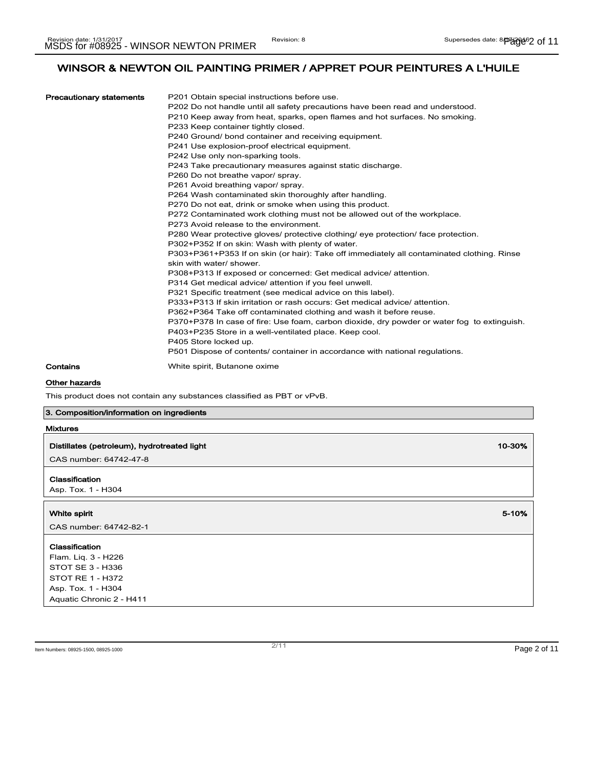| <b>Precautionary statements</b> | P201 Obtain special instructions before use.<br>P202 Do not handle until all safety precautions have been read and understood.<br>P210 Keep away from heat, sparks, open flames and hot surfaces. No smoking.<br>P233 Keep container tightly closed.<br>P240 Ground/ bond container and receiving equipment.<br>P241 Use explosion-proof electrical equipment.<br>P242 Use only non-sparking tools.<br>P243 Take precautionary measures against static discharge.<br>P260 Do not breathe vapor/ spray.<br>P261 Avoid breathing vapor/spray.                                                                       |
|---------------------------------|-------------------------------------------------------------------------------------------------------------------------------------------------------------------------------------------------------------------------------------------------------------------------------------------------------------------------------------------------------------------------------------------------------------------------------------------------------------------------------------------------------------------------------------------------------------------------------------------------------------------|
|                                 | P264 Wash contaminated skin thoroughly after handling.<br>P270 Do not eat, drink or smoke when using this product.<br>P272 Contaminated work clothing must not be allowed out of the workplace.<br>P273 Avoid release to the environment.<br>P280 Wear protective gloves/ protective clothing/ eye protection/ face protection.<br>P302+P352 If on skin: Wash with plenty of water.<br>P303+P361+P353 If on skin (or hair): Take off immediately all contaminated clothing. Rinse<br>skin with water/ shower.                                                                                                     |
|                                 | P308+P313 If exposed or concerned: Get medical advice/ attention.<br>P314 Get medical advice/ attention if you feel unwell.<br>P321 Specific treatment (see medical advice on this label).<br>P333+P313 If skin irritation or rash occurs: Get medical advice/ attention.<br>P362+P364 Take off contaminated clothing and wash it before reuse.<br>P370+P378 In case of fire: Use foam, carbon dioxide, dry powder or water fog to extinguish.<br>P403+P235 Store in a well-ventilated place. Keep cool.<br>P405 Store locked up.<br>P501 Dispose of contents/ container in accordance with national regulations. |
| Contains                        | White spirit, Butanone oxime                                                                                                                                                                                                                                                                                                                                                                                                                                                                                                                                                                                      |

# Other hazards

This product does not contain any substances classified as PBT or vPvB.

# 3. Composition/information on ingredients

| Mixtures |  |
|----------|--|
|----------|--|

| Distillates (petroleum), hydrotreated light                                                                                            | 10-30% |
|----------------------------------------------------------------------------------------------------------------------------------------|--------|
| CAS number: 64742-47-8                                                                                                                 |        |
| Classification<br>Asp. Tox. 1 - H304                                                                                                   |        |
| White spirit<br>CAS number: 64742-82-1                                                                                                 | 5-10%  |
| Classification<br>Flam. Liq. 3 - H226<br>STOT SE 3 - H336<br><b>STOT RE 1 - H372</b><br>Asp. Tox. 1 - H304<br>Aquatic Chronic 2 - H411 |        |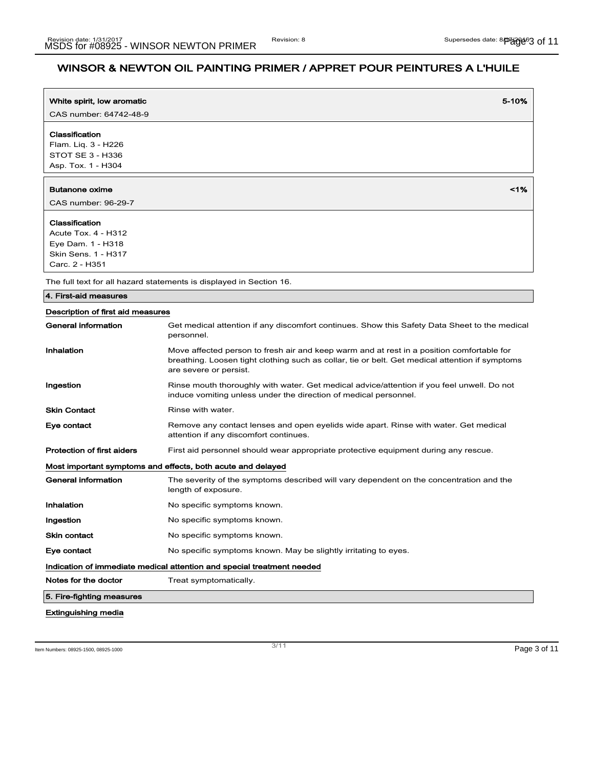| White spirit, low aromatic                                                                                 | 5-10%                                                                                                                                                                                                                  |
|------------------------------------------------------------------------------------------------------------|------------------------------------------------------------------------------------------------------------------------------------------------------------------------------------------------------------------------|
| CAS number: 64742-48-9                                                                                     |                                                                                                                                                                                                                        |
| Classification<br>Flam. Liq. 3 - H226<br>STOT SE 3 - H336<br>Asp. Tox. 1 - H304                            |                                                                                                                                                                                                                        |
| Butanone oxime<br>CAS number: 96-29-7                                                                      | 1%                                                                                                                                                                                                                     |
| Classification<br>Acute Tox. 4 - H312<br>Eye Dam. 1 - H318<br><b>Skin Sens. 1 - H317</b><br>Carc. 2 - H351 |                                                                                                                                                                                                                        |
|                                                                                                            | The full text for all hazard statements is displayed in Section 16.                                                                                                                                                    |
| 4. First-aid measures                                                                                      |                                                                                                                                                                                                                        |
| Description of first aid measures                                                                          |                                                                                                                                                                                                                        |
| General information                                                                                        | Get medical attention if any discomfort continues. Show this Safety Data Sheet to the medical<br>personnel.                                                                                                            |
| Inhalation                                                                                                 | Move affected person to fresh air and keep warm and at rest in a position comfortable for<br>breathing. Loosen tight clothing such as collar, tie or belt. Get medical attention if symptoms<br>are severe or persist. |
| Ingestion                                                                                                  | Rinse mouth thoroughly with water. Get medical advice/attention if you feel unwell. Do not<br>induce vomiting unless under the direction of medical personnel.                                                         |
| <b>Skin Contact</b>                                                                                        | Rinse with water.                                                                                                                                                                                                      |
| Eye contact                                                                                                | Remove any contact lenses and open eyelids wide apart. Rinse with water. Get medical<br>attention if any discomfort continues.                                                                                         |
| <b>Protection of first aiders</b>                                                                          | First aid personnel should wear appropriate protective equipment during any rescue.                                                                                                                                    |
|                                                                                                            | Most important symptoms and effects, both acute and delayed                                                                                                                                                            |
| General information                                                                                        | The severity of the symptoms described will vary dependent on the concentration and the<br>length of exposure.                                                                                                         |
| Inhalation                                                                                                 | No specific symptoms known.                                                                                                                                                                                            |
| Ingestion                                                                                                  | No specific symptoms known.                                                                                                                                                                                            |
| <b>Skin contact</b>                                                                                        | No specific symptoms known.                                                                                                                                                                                            |

Eye contact The Solution of the symptoms known. May be slightly irritating to eyes.

Indication of immediate medical attention and special treatment needed

Notes for the doctor Treat symptomatically.

5. Fire-fighting measures

# Extinguishing media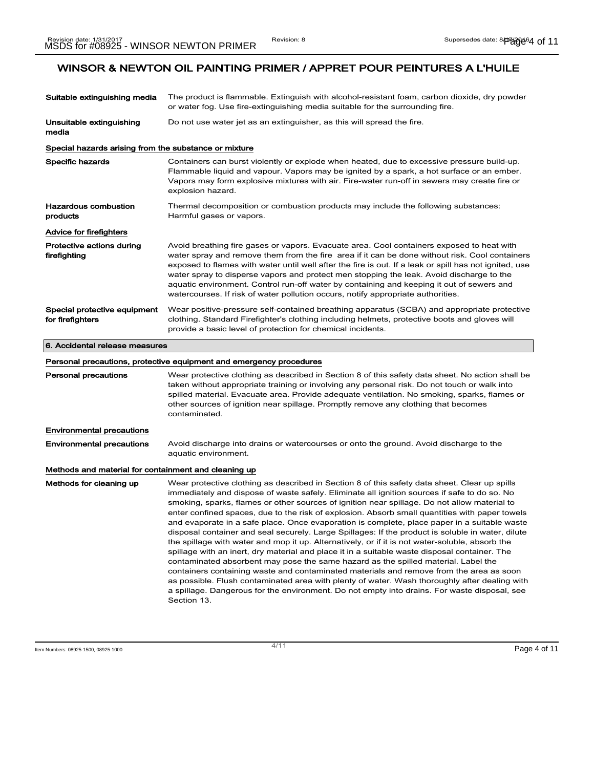| Suitable extinguishing media                          | The product is flammable. Extinguish with alcohol-resistant foam, carbon dioxide, dry powder<br>or water fog. Use fire-extinguishing media suitable for the surrounding fire.                                                                                                                                                                                                                                                                                                                                                                                                                                                                                                                                                                                                                                                                                                                                                                                                                                                                                                                                                                                                                             |
|-------------------------------------------------------|-----------------------------------------------------------------------------------------------------------------------------------------------------------------------------------------------------------------------------------------------------------------------------------------------------------------------------------------------------------------------------------------------------------------------------------------------------------------------------------------------------------------------------------------------------------------------------------------------------------------------------------------------------------------------------------------------------------------------------------------------------------------------------------------------------------------------------------------------------------------------------------------------------------------------------------------------------------------------------------------------------------------------------------------------------------------------------------------------------------------------------------------------------------------------------------------------------------|
| Unsuitable extinguishing<br>media                     | Do not use water jet as an extinguisher, as this will spread the fire.                                                                                                                                                                                                                                                                                                                                                                                                                                                                                                                                                                                                                                                                                                                                                                                                                                                                                                                                                                                                                                                                                                                                    |
| Special hazards arising from the substance or mixture |                                                                                                                                                                                                                                                                                                                                                                                                                                                                                                                                                                                                                                                                                                                                                                                                                                                                                                                                                                                                                                                                                                                                                                                                           |
| Specific hazards                                      | Containers can burst violently or explode when heated, due to excessive pressure build-up.<br>Flammable liquid and vapour. Vapors may be ignited by a spark, a hot surface or an ember.<br>Vapors may form explosive mixtures with air. Fire-water run-off in sewers may create fire or<br>explosion hazard.                                                                                                                                                                                                                                                                                                                                                                                                                                                                                                                                                                                                                                                                                                                                                                                                                                                                                              |
| Hazardous combustion<br>products                      | Thermal decomposition or combustion products may include the following substances:<br>Harmful gases or vapors.                                                                                                                                                                                                                                                                                                                                                                                                                                                                                                                                                                                                                                                                                                                                                                                                                                                                                                                                                                                                                                                                                            |
| Advice for firefighters                               |                                                                                                                                                                                                                                                                                                                                                                                                                                                                                                                                                                                                                                                                                                                                                                                                                                                                                                                                                                                                                                                                                                                                                                                                           |
| Protective actions during<br>firefighting             | Avoid breathing fire gases or vapors. Evacuate area. Cool containers exposed to heat with<br>water spray and remove them from the fire area if it can be done without risk. Cool containers<br>exposed to flames with water until well after the fire is out. If a leak or spill has not ignited, use<br>water spray to disperse vapors and protect men stopping the leak. Avoid discharge to the<br>aquatic environment. Control run-off water by containing and keeping it out of sewers and<br>watercourses. If risk of water pollution occurs, notify appropriate authorities.                                                                                                                                                                                                                                                                                                                                                                                                                                                                                                                                                                                                                        |
| Special protective equipment<br>for firefighters      | Wear positive-pressure self-contained breathing apparatus (SCBA) and appropriate protective<br>clothing. Standard Firefighter's clothing including helmets, protective boots and gloves will<br>provide a basic level of protection for chemical incidents.                                                                                                                                                                                                                                                                                                                                                                                                                                                                                                                                                                                                                                                                                                                                                                                                                                                                                                                                               |
| 6. Accidental release measures                        |                                                                                                                                                                                                                                                                                                                                                                                                                                                                                                                                                                                                                                                                                                                                                                                                                                                                                                                                                                                                                                                                                                                                                                                                           |
|                                                       | Personal precautions, protective equipment and emergency procedures                                                                                                                                                                                                                                                                                                                                                                                                                                                                                                                                                                                                                                                                                                                                                                                                                                                                                                                                                                                                                                                                                                                                       |
| Personal precautions                                  | Wear protective clothing as described in Section 8 of this safety data sheet. No action shall be<br>taken without appropriate training or involving any personal risk. Do not touch or walk into<br>spilled material. Evacuate area. Provide adequate ventilation. No smoking, sparks, flames or<br>other sources of ignition near spillage. Promptly remove any clothing that becomes<br>contaminated.                                                                                                                                                                                                                                                                                                                                                                                                                                                                                                                                                                                                                                                                                                                                                                                                   |
| Environmental precautions                             |                                                                                                                                                                                                                                                                                                                                                                                                                                                                                                                                                                                                                                                                                                                                                                                                                                                                                                                                                                                                                                                                                                                                                                                                           |
| Environmental precautions                             | Avoid discharge into drains or watercourses or onto the ground. Avoid discharge to the<br>aquatic environment.                                                                                                                                                                                                                                                                                                                                                                                                                                                                                                                                                                                                                                                                                                                                                                                                                                                                                                                                                                                                                                                                                            |
| Methods and material for containment and cleaning up  |                                                                                                                                                                                                                                                                                                                                                                                                                                                                                                                                                                                                                                                                                                                                                                                                                                                                                                                                                                                                                                                                                                                                                                                                           |
| Methods for cleaning up                               | Wear protective clothing as described in Section 8 of this safety data sheet. Clear up spills<br>immediately and dispose of waste safely. Eliminate all ignition sources if safe to do so. No<br>smoking, sparks, flames or other sources of ignition near spillage. Do not allow material to<br>enter confined spaces, due to the risk of explosion. Absorb small quantities with paper towels<br>and evaporate in a safe place. Once evaporation is complete, place paper in a suitable waste<br>disposal container and seal securely. Large Spillages: If the product is soluble in water, dilute<br>the spillage with water and mop it up. Alternatively, or if it is not water-soluble, absorb the<br>spillage with an inert, dry material and place it in a suitable waste disposal container. The<br>contaminated absorbent may pose the same hazard as the spilled material. Label the<br>containers containing waste and contaminated materials and remove from the area as soon<br>as possible. Flush contaminated area with plenty of water. Wash thoroughly after dealing with<br>a spillage. Dangerous for the environment. Do not empty into drains. For waste disposal, see<br>Section 13. |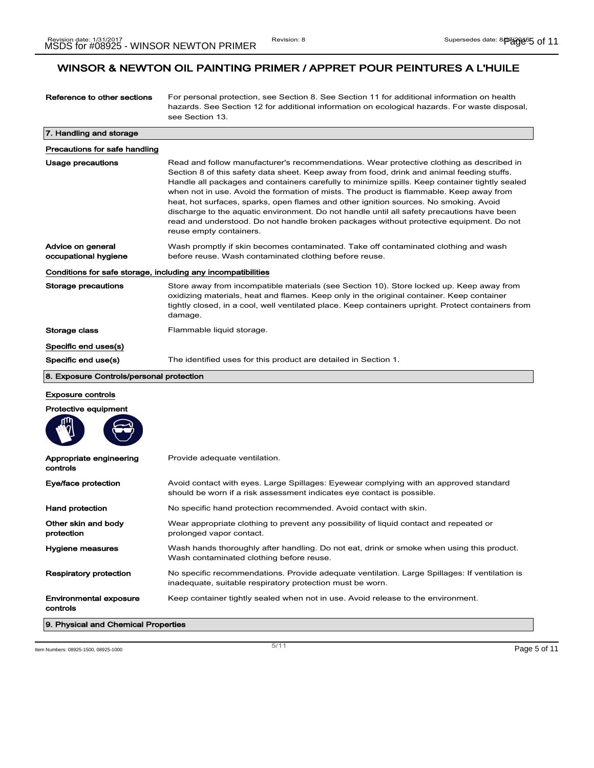| Reference to other sections                                  | For personal protection, see Section 8. See Section 11 for additional information on health<br>hazards. See Section 12 for additional information on ecological hazards. For waste disposal,<br>see Section 13.                                                                                                                                                                                                                                                                                                                                                                                                                                                                                  |  |
|--------------------------------------------------------------|--------------------------------------------------------------------------------------------------------------------------------------------------------------------------------------------------------------------------------------------------------------------------------------------------------------------------------------------------------------------------------------------------------------------------------------------------------------------------------------------------------------------------------------------------------------------------------------------------------------------------------------------------------------------------------------------------|--|
| 7. Handling and storage                                      |                                                                                                                                                                                                                                                                                                                                                                                                                                                                                                                                                                                                                                                                                                  |  |
| Precautions for safe handling                                |                                                                                                                                                                                                                                                                                                                                                                                                                                                                                                                                                                                                                                                                                                  |  |
| Usage precautions                                            | Read and follow manufacturer's recommendations. Wear protective clothing as described in<br>Section 8 of this safety data sheet. Keep away from food, drink and animal feeding stuffs.<br>Handle all packages and containers carefully to minimize spills. Keep container tightly sealed<br>when not in use. Avoid the formation of mists. The product is flammable. Keep away from<br>heat, hot surfaces, sparks, open flames and other ignition sources. No smoking. Avoid<br>discharge to the aquatic environment. Do not handle until all safety precautions have been<br>read and understood. Do not handle broken packages without protective equipment. Do not<br>reuse empty containers. |  |
| Advice on general<br>occupational hygiene                    | Wash promptly if skin becomes contaminated. Take off contaminated clothing and wash<br>before reuse. Wash contaminated clothing before reuse.                                                                                                                                                                                                                                                                                                                                                                                                                                                                                                                                                    |  |
| Conditions for safe storage, including any incompatibilities |                                                                                                                                                                                                                                                                                                                                                                                                                                                                                                                                                                                                                                                                                                  |  |
| Storage precautions                                          | Store away from incompatible materials (see Section 10). Store locked up. Keep away from<br>oxidizing materials, heat and flames. Keep only in the original container. Keep container<br>tightly closed, in a cool, well ventilated place. Keep containers upright. Protect containers from<br>damage.                                                                                                                                                                                                                                                                                                                                                                                           |  |
| Storage class                                                | Flammable liquid storage.                                                                                                                                                                                                                                                                                                                                                                                                                                                                                                                                                                                                                                                                        |  |
| Specific end uses(s)                                         |                                                                                                                                                                                                                                                                                                                                                                                                                                                                                                                                                                                                                                                                                                  |  |
| Specific end use(s)                                          | The identified uses for this product are detailed in Section 1.                                                                                                                                                                                                                                                                                                                                                                                                                                                                                                                                                                                                                                  |  |
| 8. Exposure Controls/personal protection                     |                                                                                                                                                                                                                                                                                                                                                                                                                                                                                                                                                                                                                                                                                                  |  |
| <b>Exposure controls</b>                                     |                                                                                                                                                                                                                                                                                                                                                                                                                                                                                                                                                                                                                                                                                                  |  |
| <b>Protective equipment</b>                                  |                                                                                                                                                                                                                                                                                                                                                                                                                                                                                                                                                                                                                                                                                                  |  |
|                                                              |                                                                                                                                                                                                                                                                                                                                                                                                                                                                                                                                                                                                                                                                                                  |  |
| Appropriate engineering<br>controls                          | Provide adequate ventilation.                                                                                                                                                                                                                                                                                                                                                                                                                                                                                                                                                                                                                                                                    |  |
| Eye/face protection                                          | Avoid contact with eyes. Large Spillages: Eyewear complying with an approved standard<br>should be worn if a risk assessment indicates eye contact is possible.                                                                                                                                                                                                                                                                                                                                                                                                                                                                                                                                  |  |
| Hand protection                                              | No specific hand protection recommended. Avoid contact with skin.                                                                                                                                                                                                                                                                                                                                                                                                                                                                                                                                                                                                                                |  |
| Other skin and body<br>protection                            | Wear appropriate clothing to prevent any possibility of liquid contact and repeated or<br>prolonged vapor contact.                                                                                                                                                                                                                                                                                                                                                                                                                                                                                                                                                                               |  |
| Hygiene measures                                             | Wash hands thoroughly after handling. Do not eat, drink or smoke when using this product.<br>Wash contaminated clothing before reuse.                                                                                                                                                                                                                                                                                                                                                                                                                                                                                                                                                            |  |
| <b>Respiratory protection</b>                                | No specific recommendations. Provide adequate ventilation. Large Spillages: If ventilation is<br>inadequate, suitable respiratory protection must be worn.                                                                                                                                                                                                                                                                                                                                                                                                                                                                                                                                       |  |
| Environmental exposure<br>controls                           | Keep container tightly sealed when not in use. Avoid release to the environment.                                                                                                                                                                                                                                                                                                                                                                                                                                                                                                                                                                                                                 |  |
| 9. Physical and Chemical Properties                          |                                                                                                                                                                                                                                                                                                                                                                                                                                                                                                                                                                                                                                                                                                  |  |

Item Numbers: 08925-1500, 08925-1000 Page 5 of 11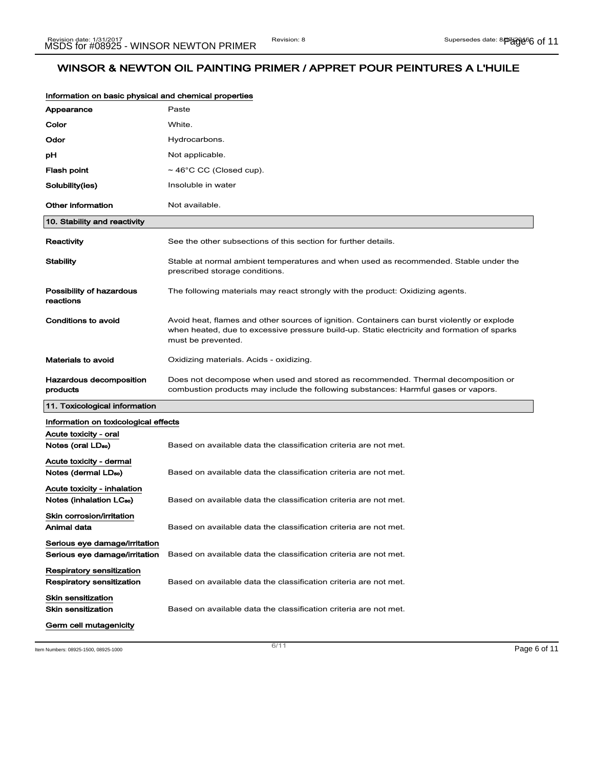| Information on basic physical and chemical properties               |                                                                                                                                                                                                                  |
|---------------------------------------------------------------------|------------------------------------------------------------------------------------------------------------------------------------------------------------------------------------------------------------------|
| Appearance                                                          | Paste                                                                                                                                                                                                            |
| Color                                                               | White.                                                                                                                                                                                                           |
| Odor                                                                | Hydrocarbons.                                                                                                                                                                                                    |
| рH                                                                  | Not applicable.                                                                                                                                                                                                  |
| <b>Flash point</b>                                                  | $\sim$ 46°C CC (Closed cup).                                                                                                                                                                                     |
| Solubility(ies)                                                     | Insoluble in water                                                                                                                                                                                               |
| Other information                                                   | Not available.                                                                                                                                                                                                   |
| 10. Stability and reactivity                                        |                                                                                                                                                                                                                  |
| Reactivity                                                          | See the other subsections of this section for further details.                                                                                                                                                   |
| <b>Stability</b>                                                    | Stable at normal ambient temperatures and when used as recommended. Stable under the<br>prescribed storage conditions.                                                                                           |
| Possibility of hazardous<br>reactions                               | The following materials may react strongly with the product: Oxidizing agents.                                                                                                                                   |
| Conditions to avoid                                                 | Avoid heat, flames and other sources of ignition. Containers can burst violently or explode<br>when heated, due to excessive pressure build-up. Static electricity and formation of sparks<br>must be prevented. |
| <b>Materials to avoid</b>                                           | Oxidizing materials. Acids - oxidizing.                                                                                                                                                                          |
| <b>Hazardous decomposition</b><br>products                          | Does not decompose when used and stored as recommended. Thermal decomposition or<br>combustion products may include the following substances: Harmful gases or vapors.                                           |
| 11. Toxicological information                                       |                                                                                                                                                                                                                  |
| Information on toxicological effects                                |                                                                                                                                                                                                                  |
| Acute toxicity - oral<br>Notes (oral LD <sub>so</sub> )             | Based on available data the classification criteria are not met.                                                                                                                                                 |
| Acute toxicity - dermal<br>Notes (dermal LDso)                      | Based on available data the classification criteria are not met.                                                                                                                                                 |
| Acute toxicity - inhalation<br>Notes (inhalation LC <sub>50</sub> ) | Based on available data the classification criteria are not met.                                                                                                                                                 |
| Skin corrosion/irritation<br>Animal data                            | Based on available data the classification criteria are not met.                                                                                                                                                 |
| Serious eye damage/irritation<br>Serious eye damage/irritation      | Based on available data the classification criteria are not met.                                                                                                                                                 |
| Respiratory sensitization<br>Respiratory sensitization              | Based on available data the classification criteria are not met.                                                                                                                                                 |
| Skin sensitization<br><b>Skin sensitization</b>                     | Based on available data the classification criteria are not met.                                                                                                                                                 |
| Germ cell mutagenicity                                              |                                                                                                                                                                                                                  |
| Item Numbers: 08925-1500, 08925-1000                                | 6/11<br>Page 6 of 11                                                                                                                                                                                             |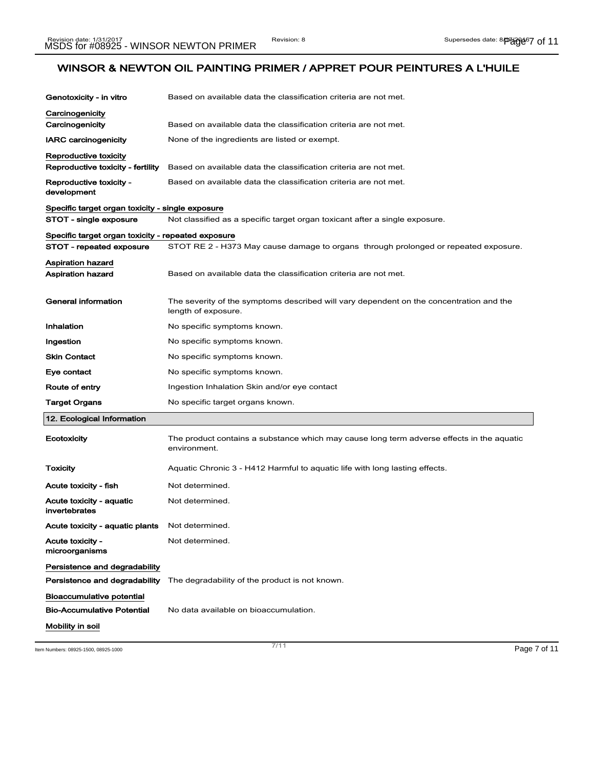| Genotoxicity - in vitro                            | Based on available data the classification criteria are not met.                                               |
|----------------------------------------------------|----------------------------------------------------------------------------------------------------------------|
| Carcinogenicity                                    |                                                                                                                |
| Carcinogenicity                                    | Based on available data the classification criteria are not met.                                               |
| <b>IARC carcinogenicity</b>                        | None of the ingredients are listed or exempt.                                                                  |
| Reproductive toxicity                              |                                                                                                                |
| Reproductive toxicity - fertility                  | Based on available data the classification criteria are not met.                                               |
| Reproductive toxicity -<br>development             | Based on available data the classification criteria are not met.                                               |
| Specific target organ toxicity - single exposure   |                                                                                                                |
| STOT - single exposure                             | Not classified as a specific target organ toxicant after a single exposure.                                    |
| Specific target organ toxicity - repeated exposure |                                                                                                                |
| STOT - repeated exposure                           | STOT RE 2 - H373 May cause damage to organs through prolonged or repeated exposure.                            |
| Aspiration hazard<br>Aspiration hazard             | Based on available data the classification criteria are not met.                                               |
| <b>General information</b>                         | The severity of the symptoms described will vary dependent on the concentration and the<br>length of exposure. |
| Inhalation                                         | No specific symptoms known.                                                                                    |
| Ingestion                                          | No specific symptoms known.                                                                                    |
| <b>Skin Contact</b>                                | No specific symptoms known.                                                                                    |
| Eye contact                                        | No specific symptoms known.                                                                                    |
| Route of entry                                     | Ingestion Inhalation Skin and/or eye contact                                                                   |
| Target Organs                                      | No specific target organs known.                                                                               |
| 12. Ecological Information                         |                                                                                                                |
| Ecotoxicity                                        | The product contains a substance which may cause long term adverse effects in the aquatic<br>environment.      |
| Toxicity                                           | Aquatic Chronic 3 - H412 Harmful to aquatic life with long lasting effects.                                    |
| Acute toxicity - fish                              | Not determined.                                                                                                |
| Acute toxicity - aquatic<br>invertebrates          | Not determined.                                                                                                |
| Acute toxicity - aquatic plants                    | Not determined.                                                                                                |
| <b>Acute toxicity -</b><br>microorganisms          | Not determined.                                                                                                |
| Persistence and degradability                      |                                                                                                                |
| Persistence and degradability                      | The degradability of the product is not known.                                                                 |
| Bioaccumulative potential                          |                                                                                                                |
| <b>Bio-Accumulative Potential</b>                  | No data available on bioaccumulation.                                                                          |
| Mobility in soil                                   |                                                                                                                |

Item Numbers: 08925-1500, 08925-1000 Page 7 of 11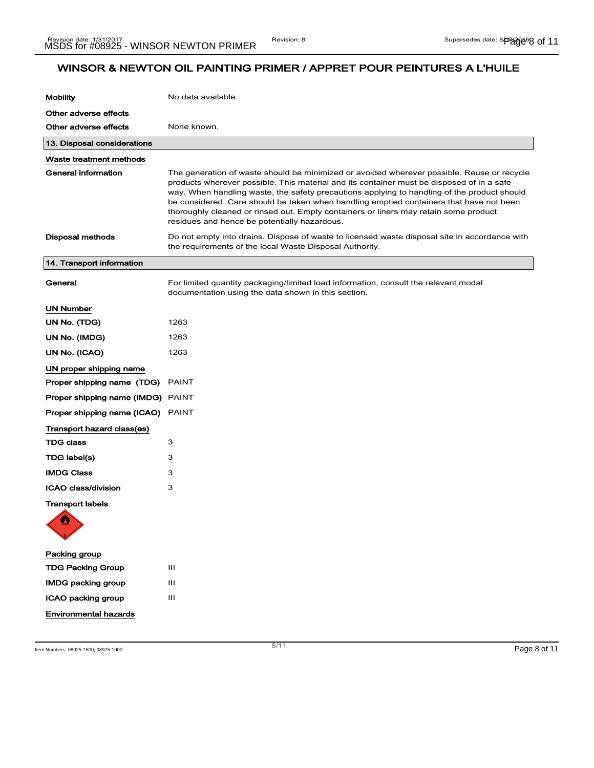| <b>Mobility</b>                          | No data available.                                                                                                                                                                                                                                                                                                                                                                                                                                                                                                        |
|------------------------------------------|---------------------------------------------------------------------------------------------------------------------------------------------------------------------------------------------------------------------------------------------------------------------------------------------------------------------------------------------------------------------------------------------------------------------------------------------------------------------------------------------------------------------------|
| Other adverse effects                    |                                                                                                                                                                                                                                                                                                                                                                                                                                                                                                                           |
| Other adverse effects                    | None known.                                                                                                                                                                                                                                                                                                                                                                                                                                                                                                               |
| 13. Disposal considerations              |                                                                                                                                                                                                                                                                                                                                                                                                                                                                                                                           |
| Waste treatment methods                  |                                                                                                                                                                                                                                                                                                                                                                                                                                                                                                                           |
| <b>General information</b>               | The generation of waste should be minimized or avoided wherever possible. Reuse or recycle<br>products wherever possible. This material and its container must be disposed of in a safe<br>way. When handling waste, the safety precautions applying to handling of the product should<br>be considered. Care should be taken when handling emptied containers that have not been<br>thoroughly cleaned or rinsed out. Empty containers or liners may retain some product<br>residues and hence be potentially hazardous. |
| <b>Disposal methods</b>                  | Do not empty into drains. Dispose of waste to licensed waste disposal site in accordance with<br>the requirements of the local Waste Disposal Authority.                                                                                                                                                                                                                                                                                                                                                                  |
| 14. Transport information                |                                                                                                                                                                                                                                                                                                                                                                                                                                                                                                                           |
| General                                  | For limited quantity packaging/limited load information, consult the relevant modal<br>documentation using the data shown in this section.                                                                                                                                                                                                                                                                                                                                                                                |
| <b>UN Number</b>                         |                                                                                                                                                                                                                                                                                                                                                                                                                                                                                                                           |
| UN No. (TDG)                             | 1263                                                                                                                                                                                                                                                                                                                                                                                                                                                                                                                      |
| UN No. (IMDG)                            | 1263                                                                                                                                                                                                                                                                                                                                                                                                                                                                                                                      |
| UN No. (ICAO)                            | 1263                                                                                                                                                                                                                                                                                                                                                                                                                                                                                                                      |
| UN proper shipping name                  |                                                                                                                                                                                                                                                                                                                                                                                                                                                                                                                           |
| Proper shipping name (TDG)               | <b>PAINT</b>                                                                                                                                                                                                                                                                                                                                                                                                                                                                                                              |
| Proper shipping name (IMDG) PAINT        |                                                                                                                                                                                                                                                                                                                                                                                                                                                                                                                           |
| <b>Proper shipping name (ICAO)</b> PAINT |                                                                                                                                                                                                                                                                                                                                                                                                                                                                                                                           |
| Transport hazard class(es)               |                                                                                                                                                                                                                                                                                                                                                                                                                                                                                                                           |
| <b>TDG class</b>                         | 3                                                                                                                                                                                                                                                                                                                                                                                                                                                                                                                         |
| TDG label(s)                             | 3                                                                                                                                                                                                                                                                                                                                                                                                                                                                                                                         |
| <b>IMDG Class</b>                        | 3                                                                                                                                                                                                                                                                                                                                                                                                                                                                                                                         |
| ICAO class/division                      | 3                                                                                                                                                                                                                                                                                                                                                                                                                                                                                                                         |
| <b>Transport labels</b><br>诚             |                                                                                                                                                                                                                                                                                                                                                                                                                                                                                                                           |
|                                          |                                                                                                                                                                                                                                                                                                                                                                                                                                                                                                                           |
| Packing group                            |                                                                                                                                                                                                                                                                                                                                                                                                                                                                                                                           |
| <b>TDG Packing Group</b>                 | Ш                                                                                                                                                                                                                                                                                                                                                                                                                                                                                                                         |
| <b>IMDG packing group</b>                | Ш                                                                                                                                                                                                                                                                                                                                                                                                                                                                                                                         |
| ICAO packing group                       | Ш                                                                                                                                                                                                                                                                                                                                                                                                                                                                                                                         |
| <b>Environmental hazards</b>             |                                                                                                                                                                                                                                                                                                                                                                                                                                                                                                                           |

Item Numbers: 08925-1500, 08925-1000 Page 8 of 11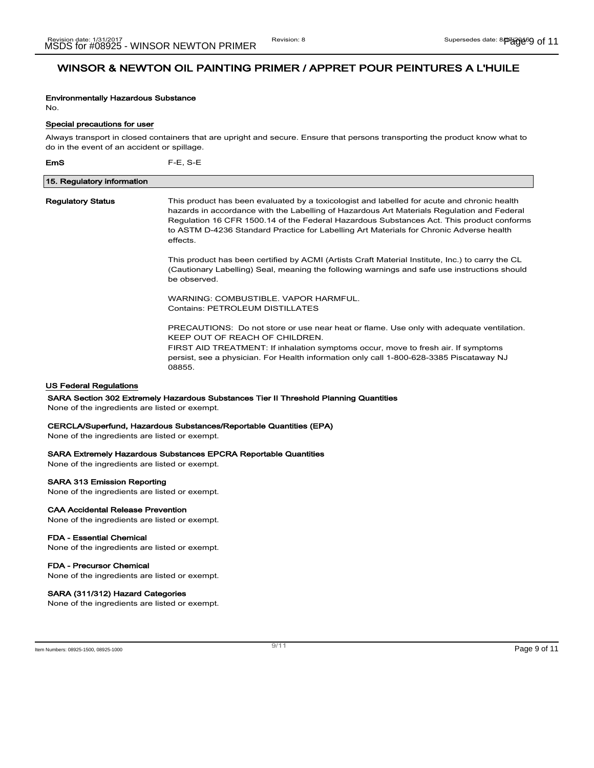# Environmentally Hazardous Substance

No.

### Special precautions for user

Always transport in closed containers that are upright and secure. Ensure that persons transporting the product know what to do in the event of an accident or spillage.

EmS F-E, S-E 15. Regulatory information Regulatory Status This product has been evaluated by a toxicologist and labelled for acute and chronic health hazards in accordance with the Labelling of Hazardous Art Materials Regulation and Federal Regulation 16 CFR 1500.14 of the Federal Hazardous Substances Act. This product conforms to ASTM D-4236 Standard Practice for Labelling Art Materials for Chronic Adverse health effects. This product has been certified by ACMI (Artists Craft Material Institute, Inc.) to carry the CL (Cautionary Labelling) Seal, meaning the following warnings and safe use instructions should be observed. WARNING: COMBUSTIBLE. VAPOR HARMFUL. Contains: PETROLEUM DISTILLATES PRECAUTIONS: Do not store or use near heat or flame. Use only with adequate ventilation. KEEP OUT OF REACH OF CHILDREN. FIRST AID TREATMENT: If inhalation symptoms occur, move to fresh air. If symptoms persist, see a physician. For Health information only call 1-800-628-3385 Piscataway NJ 08855.

# US Federal Regulations

#### SARA Section 302 Extremely Hazardous Substances Tier II Threshold Planning Quantities

None of the ingredients are listed or exempt.

#### CERCLA/Superfund, Hazardous Substances/Reportable Quantities (EPA)

None of the ingredients are listed or exempt.

#### SARA Extremely Hazardous Substances EPCRA Reportable Quantities

None of the ingredients are listed or exempt.

#### SARA 313 Emission Reporting

None of the ingredients are listed or exempt.

# CAA Accidental Release Prevention

None of the ingredients are listed or exempt.

### FDA - Essential Chemical

None of the ingredients are listed or exempt.

### FDA - Precursor Chemical

None of the ingredients are listed or exempt.

#### SARA (311/312) Hazard Categories

None of the ingredients are listed or exempt.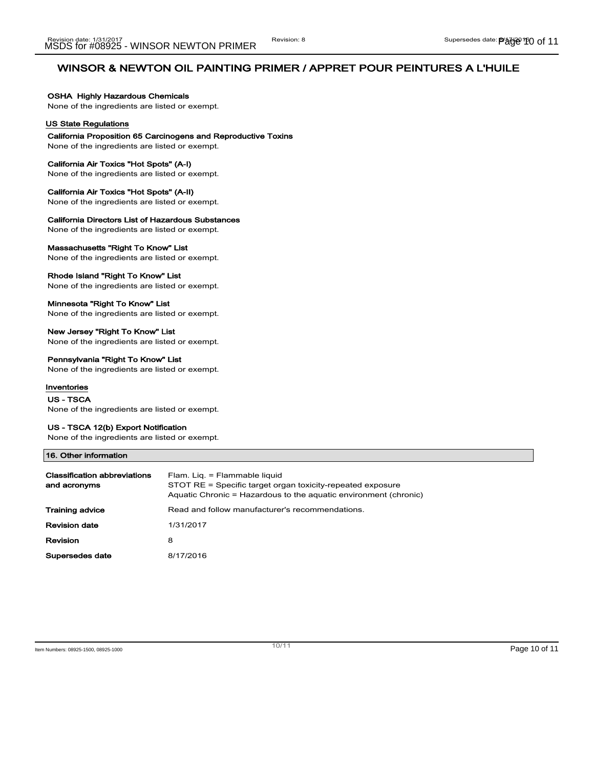### OSHA Highly Hazardous Chemicals

None of the ingredients are listed or exempt.

# US State Regulations

### California Proposition 65 Carcinogens and Reproductive Toxins

None of the ingredients are listed or exempt.

#### California Air Toxics "Hot Spots" (A-I)

None of the ingredients are listed or exempt.

#### California Air Toxics "Hot Spots" (A-II)

None of the ingredients are listed or exempt.

#### California Directors List of Hazardous Substances

None of the ingredients are listed or exempt.

#### Massachusetts "Right To Know" List

None of the ingredients are listed or exempt.

#### Rhode Island "Right To Know" List

None of the ingredients are listed or exempt.

### Minnesota "Right To Know" List

None of the ingredients are listed or exempt.

# New Jersey "Right To Know" List

None of the ingredients are listed or exempt.

### Pennsylvania "Right To Know" List

None of the ingredients are listed or exempt.

### Inventories

US - TSCA

None of the ingredients are listed or exempt.

### US - TSCA 12(b) Export Notification

None of the ingredients are listed or exempt.

#### 16. Other information

| <b>Classification abbreviations</b><br>and acronyms | Flam. Lig. = Flammable liquid<br>STOT RE = Specific target organ toxicity-repeated exposure<br>Aquatic Chronic = Hazardous to the aquatic environment (chronic) |
|-----------------------------------------------------|-----------------------------------------------------------------------------------------------------------------------------------------------------------------|
| <b>Training advice</b>                              | Read and follow manufacturer's recommendations.                                                                                                                 |
| <b>Revision date</b>                                | 1/31/2017                                                                                                                                                       |
| Revision                                            | 8                                                                                                                                                               |
| Supersedes date                                     | 8/17/2016                                                                                                                                                       |